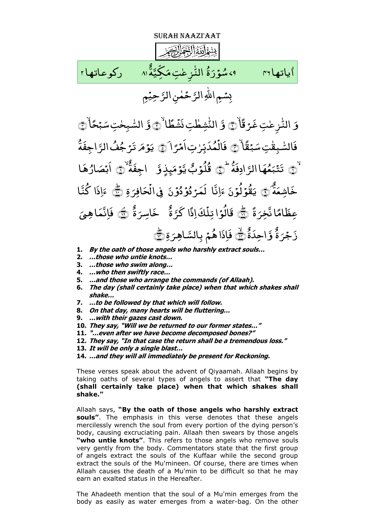Surah Naazi'aat

٩،شَوَّرَةُ النُّزِعْتِ مَكِيَّةُ ٨ ٪ ركوعاتها ٢ <u>َ</u> و<br>ور ُ و<br>س ِ<br>ه ياتها ٣١ مسمد - ٤٩ سُوَرَةُ النُّزِعْتِ مَكِيَّةَ ٨١ ֧֦֧֦֧֦֧֦֧֦֧֦֧֓֟֓֟֓֜<u>֓</u> ֧֧֧֧֦֧ׅ֧֧֟֓֓֓֝֬֟֩֓֓֓֝֬֟֩֓֓֜֩֓֩֓֓֝֬֟֩֩֓֓֝֬ ّٰ اياتها ٢٦ حِیۡمٖ َّ حَمٰنِ الرَّ ֧֖֖֖֖֖֖֖֚֚֚֚֚֚֚֚֚֚֝֝֝֝֝֝֝֝֝**֓** بِسْمِ اللَّهِ الرَّ

َ وَ النُّزِعٰتِ غَرَقَاْ۞ وَ النُّشِطْتِ نَشْطًا ا<br>ا ّٰ ْ النُّشِطْتِ نَشَطًا ۚ لَيَّ وَّ السَّبِحٰتِ سَبْحًاْ ֧֧֦֧֦֧֦֖֖֦֧֦֧ׅ֧֦֧֚֚֝֟֟֓֝֬֜֓֓<u>֖֚֓</u> َ السّْبِحْتِ سَبۡحًاۚ ۞ ّٰ ֧<u>֓</u> بْقَا َ فَالسّْبِقْتِ سَبۡقَلَاْ ۚ فَالۡمُدَبِّرٰتِ اَمۡرَا ֧<u>֖֚֓</u> ֧<u>֖֚֓</u>֖֖֚ ّٰ ْ فَالْمُدَبِّرٰتِ١ْمَرَا ۗ۞ يَوۡمَ تَرۡجُفُالرَّاجِفَةَ َّ مُ**فُ الرَ**ّ <sub>تَرُ</sub>جُ **م** و<br>وفر  $\ddot{ }$ ی ُ ۞ تَتَبَعُّهَا الرَّادِفَةَ َّ هَا الرَّ **م** و<br>ھ  $\ddot{\phantom{0}}$ بد ْ تَتَبَعُّهَا الرَّادِفَةَ ۚ ۞ قُلُوۡبٌ يَّوۡمَىٕذٍ وَّ و<br>قُلُوۡبُ يَّوۡمَ ِ<br>و اجِفَةً ۞ اَبۡصَارُهَا ر<br>ا ار **∫** ر<br>ابْصَہ ِ<br>پُ بہ<br>نم خَاشِعَةً ۞  $\overline{\phantom{0}}$ و<br>قُوْلُوۡنَ .<br>ا ی َ َّ ا ِان  $\overline{\phantom{0}}$ و<br>و ن د, و<br>و د د, لَمَرْ دُوۡ دُوۡنَ ۖ فِى الۡحَافِرَةِ َ قافِرَ ح ْ فِي الْحَافِرَةِ ݣَى عَا ٌ ا َّ ُكن ا َ ذ ً ۃ َ عِظَامًا نَّخِرَةً ۞ ٌ ۃ ل<mark>ً</mark>كَ إِذًا كَرَّ ؚ قَالُوَّا تِلَّ ٌ ۃ َ خَاسِرَةٌ ۞  $\overline{a}$ فَاِنَّمَا هِيَ ٌ بر<br>ۃ َ ر<br>زُجْرَ ٌ وَّاحِدَةٌ ۖ فَإِذَا هُمۡ بِالسَّاهِرَةِ ر<br>. بِالسَّاهِرَةِ ٢

- **1. By the oath of those angels who harshly extract souls…**
- **2. …those who untie knots…**
- **3. …those who swim along…**
- **4. …who then swiftly race…**
- **5. …and those who arrange the commands (of Allaah).**
- **6. The day (shall certainly take place) when that which shakes shall shake…**
- **7. …to be followed by that which will follow.**
- **8. On that day, many hearts will be fluttering…**
- **9. …with their gazes cast down.**
- **10. They say, "Will we be returned to our former states…"**
- **11. "…even after we have become decomposed bones?"**
- **12. They say, "In that case the return shall be a tremendous loss."**
- **13. It will be only a single blast…**
- **14. …and they will all immediately be present for Reckoning.**

These verses speak about the advent of Qiyaamah. Allaah begins by taking oaths of several types of angels to assert that **"The day (shall certainly take place) when that which shakes shall shake."**

Allaah says, **"By the oath of those angels who harshly extract souls"**. The emphasis in this verse denotes that these angels mercilessly wrench the soul from every portion of the dying person's body, causing excruciating pain. Allaah then swears by those angels **"who untie knots"**. This refers to those angels who remove souls very gently from the body. Commentators state that the first group of angels extract the souls of the Kuffaar while the second group extract the souls of the Mu'mineen. Of course, there are times when Allaah causes the death of a Mu'min to be difficult so that he may earn an exalted status in the Hereafter.

The Ahadeeth mention that the soul of a Mu'min emerges from the body as easily as water emerges from a water-bag. On the other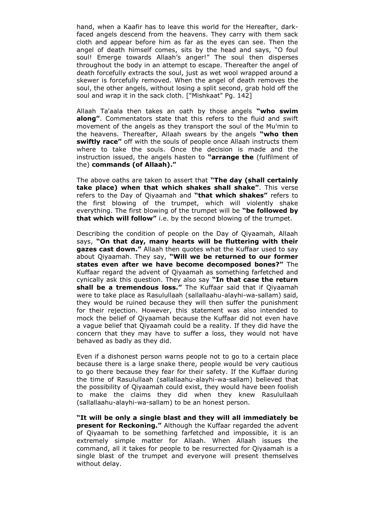hand, when a Kaafir has to leave this world for the Hereafter, darkfaced angels descend from the heavens. They carry with them sack cloth and appear before him as far as the eyes can see. Then the angel of death himself comes, sits by the head and says, "O foul soul! Emerge towards Allaah's anger!" The soul then disperses throughout the body in an attempt to escape. Thereafter the angel of death forcefully extracts the soul, just as wet wool wrapped around a skewer is forcefully removed. When the angel of death removes the soul, the other angels, without losing a split second, grab hold off the soul and wrap it in the sack cloth. ["Mishkaat" Pg. 142]

Allaah Ta'aala then takes an oath by those angels **"who swim along"**. Commentators state that this refers to the fluid and swift movement of the angels as they transport the soul of the Mu'min to the heavens. Thereafter, Allaah swears by the angels **"who then swiftly race"** off with the souls of people once Allaah instructs them where to take the souls. Once the decision is made and the instruction issued, the angels hasten to **"arrange the** (fulfilment of the) **commands (of Allaah)."** 

The above oaths are taken to assert that **"The day (shall certainly take place) when that which shakes shall shake"**. This verse refers to the Day of Qiyaamah and **"that which shakes"** refers to the first blowing of the trumpet, which will violently shake everything. The first blowing of the trumpet will be **"be followed by that which will follow"** i.e. by the second blowing of the trumpet.

Describing the condition of people on the Day of Qiyaamah, Allaah says, **"On that day, many hearts will be fluttering with their gazes cast down."** Allaah then quotes what the Kuffaar used to say about Qiyaamah. They say, **"Will we be returned to our former states even after we have become decomposed bones?"** The Kuffaar regard the advent of Qiyaamah as something farfetched and cynically ask this question. They also say **"In that case the return shall be a tremendous loss."** The Kuffaar said that if Qiyaamah were to take place as Rasulullaah (sallallaahu-alayhi-wa-sallam) said, they would be ruined because they will then suffer the punishment for their rejection. However, this statement was also intended to mock the belief of Qiyaamah because the Kuffaar did not even have a vague belief that Qiyaamah could be a reality. If they did have the concern that they may have to suffer a loss, they would not have behaved as badly as they did.

Even if a dishonest person warns people not to go to a certain place because there is a large snake there, people would be very cautious to go there because they fear for their safety. If the Kuffaar during the time of Rasulullaah (sallallaahu-alayhi-wa-sallam) believed that the possibility of Qiyaamah could exist, they would have been foolish to make the claims they did when they knew Rasulullaah (sallallaahu-alayhi-wa-sallam) to be an honest person.

**"It will be only a single blast and they will all immediately be present for Reckoning."** Although the Kuffaar regarded the advent of Qiyaamah to be something farfetched and impossible, it is an extremely simple matter for Allaah. When Allaah issues the command, all it takes for people to be resurrected for Qiyaamah is a single blast of the trumpet and everyone will present themselves without delay.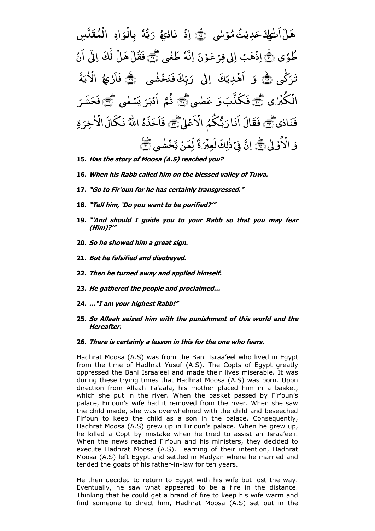ت َ ا ّٰ ْ هَلٌ اَنٰجِكَ حَدِيۡثُ مُوۡسٰى **∕** م<br>مثّ هُمُ <sub>َ</sub><br>دَرِيۡ خ ٔ<br>ا ﴾۱۵ ۘ ﴿ ْ اِذً نَادٰيُهُ ّٰ ُ ٷ ٗہ پر<br>بلا ر<br>ا رَبَّهُ بِالُوَادِ َ و ْ بِالُوَادِ الْمُقَدَّسِ ْ ال طُوًى ۞ لِذُهَبُ ْ ِاذ ِ و<br>ون <u>ء</u> الٰی فِرْعَہ ٗہ اِنَّهُ طَغْی ﷺ ّٰ , هَلٌ ْ فَقُلَهَا لَّكَ إِلَى ؚ<br>? َن ا ی ّک ֧<u>֖֚֓</u>֖֚֚ تَرَكَّى ۞ وَ آهُدِيَكَ ِدی , اَهۡدِیَكَ ۚ اِلٰی رَبِّكَ فَتَخۡشٰی ֝֟֝֝֝֝֝֝֝֝֝֝֝֝֝֟<u>֟</u> ْ بمؤ َ بِّكَ فَتَ .<br>. رَبِّكَ فَتَخۡشٰى ۚ ﴿ فَاَرٰعِهُ ّٰ ُ مُ الْأَيَّةَ  $\ddot{\phantom{0}}$ ی ّٰ ْ الأ ّٰ ی ْ ُکْب ْ الْكَبُرْيِ ﷺ َ د<br>و فَکذَّبَ6ِ عَصٰی ا<br>ا عَضي ١ آ ثُمَّ اَدۡبَرَ یَسۡعٰی ֧֖֧֦֖֧֦֖֧֦֖֧֦֝֟֟֟֟֟֟֟֟֟֟֟֟֟֟֟֟֟֟֟֟֟֟֩֕֟֩֕֝֟֟֩֕֟֩֩ ر<br>.  $\tilde{\cdot}$ .<br>ا اًدۡبَرَ يَسۡمٰى کُ فَحَشَرَ فَنَادٰی کُس فَقَالَ ٢ بُّکمُ ر<br>ا اَنَارَبُّكُمُ الْاَعْلٰ َع ْ الأعْلىٰ ﷺ فَأَخَذَهُ اللَّهُ نَكَالَ الْأَخِرَةِ َ ِ خِ ّٰ ْ نَكَالَ الْأَ َ وَ الْأُوَّلٰى ْ الۡاُوۡلٰ کَیۡ اِنَّ فِیۡ ذٰٰلِكَ لَعِبۡرَةً ابل<br>ا ْ فِيۡ ذٰٰلِكَ لَعِبۡرَةً لِّمَنۡ يَّخۡشٰى ֖֖֖֧֚֚֚֚֚֚֚֚֚֚֚֚֚֚֚֚֓<u>֓</u> ֧֦֧֦֧֦֧֦֦֦֦֦֦֦֦֧֦ׅ֧֦֧֦֧֦֧֦֧֦֝֟֟֓֝֟֜֓֟֜֓֟֜֓ ؚ لِّمَنۡ یَّخۡشٰی ۣ ۣ<del>ۗ</del>

- **15. Has the story of Moosa (A.S) reached you?**
- **16. When his Rabb called him on the blessed valley of Tuwa.**
- **17. "Go to Fir"oun for he has certainly transgressed."**
- **18. "Tell him, "Do you want to be purified?""**
- **19. ""And should I guide you to your Rabb so that you may fear (Him)?""**
- **20. So he showed him a great sign.**
- **21. But he falsified and disobeyed.**
- **22. Then he turned away and applied himself.**
- **23. He gathered the people and proclaimed…**
- **24. …"I am your highest Rabb!"**
- **25. So Allaah seized him with the punishment of this world and the Hereafter.**

## **26. There is certainly a lesson in this for the one who fears.**

Hadhrat Moosa (A.S) was from the Bani Israa'eel who lived in Egypt from the time of Hadhrat Yusuf (A.S). The Copts of Egypt greatly oppressed the Bani Israa'eel and made their lives miserable. It was during these trying times that Hadhrat Moosa (A.S) was born. Upon direction from Allaah Ta'aala, his mother placed him in a basket, which she put in the river. When the basket passed by Fir'oun's palace, Fir'oun's wife had it removed from the river. When she saw the child inside, she was overwhelmed with the child and beseeched Fir'oun to keep the child as a son in the palace. Consequently, Hadhrat Moosa (A.S) grew up in Fir'oun's palace. When he grew up, he killed a Copt by mistake when he tried to assist an Israa'eeli. When the news reached Fir'oun and his ministers, they decided to execute Hadhrat Moosa (A.S). Learning of their intention, Hadhrat Moosa (A.S) left Egypt and settled in Madyan where he married and tended the goats of his father-in-law for ten years.

He then decided to return to Egypt with his wife but lost the way. Eventually, he saw what appeared to be a fire in the distance. Thinking that he could get a brand of fire to keep his wife warm and find someone to direct him, Hadhrat Moosa (A.S) set out in the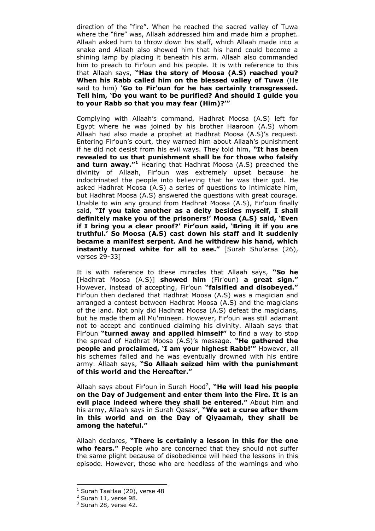direction of the "fire". When he reached the sacred valley of Tuwa where the "fire" was, Allaah addressed him and made him a prophet. Allaah asked him to throw down his staff, which Allaah made into a snake and Allaah also showed him that his hand could become a shining lamp by placing it beneath his arm. Allaah also commanded him to preach to Fir'oun and his people. It is with reference to this that Allaah says, **"Has the story of Moosa (A.S) reached you? When his Rabb called him on the blessed valley of Tuwa** (He said to him) **"Go to Fir"oun for he has certainly transgressed. Tell him, "Do you want to be purified? And should I guide you to your Rabb so that you may fear (Him)?""**

Complying with Allaah's command, Hadhrat Moosa (A.S) left for Egypt where he was joined by his brother Haaroon (A.S) whom Allaah had also made a prophet at Hadhrat Moosa (A.S)'s request. Entering Fir'oun's court, they warned him about Allaah's punishment if he did not desist from his evil ways. They told him, **"It has been revealed to us that punishment shall be for those who falsify and turn away."<sup>1</sup>** Hearing that Hadhrat Moosa (A.S) preached the divinity of Allaah, Fir'oun was extremely upset because he indoctrinated the people into believing that he was their god. He asked Hadhrat Moosa (A.S) a series of questions to intimidate him, but Hadhrat Moosa (A.S) answered the questions with great courage. Unable to win any ground from Hadhrat Moosa (A.S), Fir'oun finally said, **"If you take another as a deity besides myself, I shall definitely make you of the prisoners!" Moosa (A.S) said, "Even if I bring you a clear proof?" Fir"oun said, "Bring it if you are truthful." So Moosa (A.S) cast down his staff and it suddenly became a manifest serpent. And he withdrew his hand, which instantly turned white for all to see."** [Surah Shu'araa (26), verses 29-33]

It is with reference to these miracles that Allaah says, **"So he**  [Hadhrat Moosa (A.S)] **showed him** (Fir'oun) **a great sign."**  However, instead of accepting, Fir'oun **"falsified and disobeyed."**  Fir'oun then declared that Hadhrat Moosa (A.S) was a magician and arranged a contest between Hadhrat Moosa (A.S) and the magicians of the land. Not only did Hadhrat Moosa (A.S) defeat the magicians, but he made them all Mu'mineen. However, Fir'oun was still adamant not to accept and continued claiming his divinity. Allaah says that Fir'oun **"turned away and applied himself"** to find a way to stop the spread of Hadhrat Moosa (A.S)'s message. **"He gathered the people and proclaimed, "I am your highest Rabb!""** However, all his schemes failed and he was eventually drowned with his entire army. Allaah says, **"So Allaah seized him with the punishment of this world and the Hereafter."** 

Allaah says about Fir'oun in Surah Hood<sup>2</sup>, "**He will lead his people on the Day of Judgement and enter them into the Fire. It is an evil place indeed where they shall be entered."** About him and his army, Allaah says in Surah Qasas<sup>3</sup>, **"We set a curse after them in this world and on the Day of Qiyaamah, they shall be among the hateful."**

Allaah declares, **"There is certainly a lesson in this for the one who fears."** People who are concerned that they should not suffer the same plight because of disobedience will heed the lessons in this episode. However, those who are heedless of the warnings and who

 $<sup>1</sup>$  Surah TaaHaa (20), verse 48</sup>

<sup>2</sup> Surah 11, verse 98.

 $3$  Surah 28, verse 42.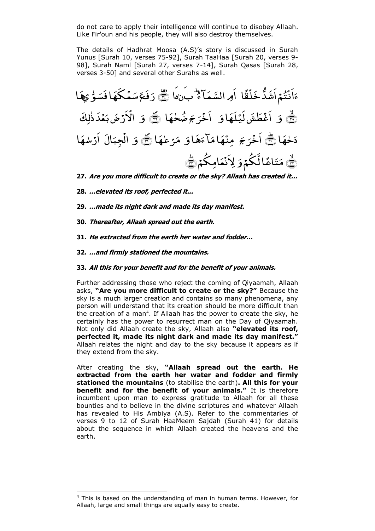do not care to apply their intelligence will continue to disobey Allaah. Like Fir'oun and his people, they will also destroy themselves.

The details of Hadhrat Moosa (A.S)'s story is discussed in Surah Yunus [Surah 10, verses 75-92], Surah TaaHaa [Surah 20, verses 9- 98], Surah Naml [Surah 27, verses 7-14], Surah Qasas [Surah 28, verses 3-50] and several other Surahs as well.

َ ا ً ق ْ َ د ُّ َ َا ا ْ ُ ۡ َن ا ُ َ َّ َِ ال ا ؕ َنّٰ َا ﴿ ٝ﴿ ۲۷﴾ ّٰ ّ و َ َ اف َ َکہ ْ َ س َ َ ف َ ر ى ا َ ہ ﴾۲۸ ۙ ﴿ َ َ ا َ َہ ۡ َی َ َ ل ط ْ َغ ا ا َ حہ ّٰ ُ ض َ ج َ ل ْ َ ا ﴿ ۪﴿ ۲۹﴾ َ َ لِ ّٰ ذ َ د ْ َ ب َ ْ ض َر ْ اا ا َ ہ ّٰ َ ا ﴿ ؕ ۳۰﴾ َ ج َ ل ْ َ ا َ ا َ ہ َ َ ا م َ ہ ْ ِمن ا َ عہ ّٰ ْل َ م ﴿ ۪﴿ ۳۱﴾ َ َ ال َ ِجب ْ ال ا َ سہ ّٰ ْ َر ا ﴾۳۲ ۙ ﴿ َ عالَّ ُک ْ ا ً َ َ م ُک ْ اِم َ ْ ِاَ ﴿ ؕ ۳۳﴾ ن

**27. Are you more difficult to create or the sky? Allaah has created it…**

- **28. …elevated its roof, perfected it...**
- **29. …made its night dark and made its day manifest.**
- **30. Thereafter, Allaah spread out the earth.**
- **31. He extracted from the earth her water and fodder…**
- **32. …and firmly stationed the mountains.**

## **33. All this for your benefit and for the benefit of your animals.**

Further addressing those who reject the coming of Qiyaamah, Allaah asks, **"Are you more difficult to create or the sky?"** Because the sky is a much larger creation and contains so many phenomena, any person will understand that its creation should be more difficult than the creation of a man<sup>4</sup>. If Allaah has the power to create the sky, he certainly has the power to resurrect man on the Day of Qiyaamah. Not only did Allaah create the sky, Allaah also **"elevated its roof, perfected it, made its night dark and made its day manifest."**  Allaah relates the night and day to the sky because it appears as if they extend from the sky.

After creating the sky, **"Allaah spread out the earth. He extracted from the earth her water and fodder and firmly stationed the mountains** (to stabilise the earth)**. All this for your benefit and for the benefit of your animals."** It is therefore incumbent upon man to express gratitude to Allaah for all these bounties and to believe in the divine scriptures and whatever Allaah has revealed to His Ambiya (A.S). Refer to the commentaries of verses 9 to 12 of Surah HaaMeem Sajdah (Surah 41) for details about the sequence in which Allaah created the heavens and the earth.

<sup>&</sup>lt;sup>4</sup> This is based on the understanding of man in human terms. However, for Allaah, large and small things are equally easy to create.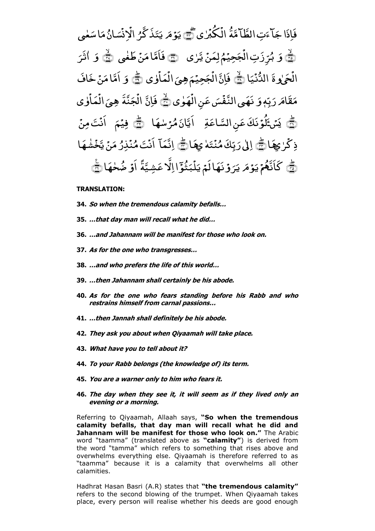تِ الطَّامَّةَ َ ءَ **م**<br>. فَإِذَا جَآءَتِ الطَّآمَّةَ الۡكَٰهُرٰى ّٰ ْ ُکْب ْ الْكُبْرِٰي ﷺ یَوۡ مَر یَتَذَکَّرُ الۡانۡسَانُ مَاسَعٰی ֧֖֧֦֖֧֦֖֧֦֖֧֦֝֟֟֟֟֟֟֟֟֟֟֟֟֟֟֟֟֟֟֟֟֟֟֩֕֟֩֕֝֟֟֩֕֟֩֩ َ اس ام<br>ا م ن<br>پ ان َ تىر<br>ئىس <sup>∶</sup> ِن ْ الا تَذَكَّرُ **ِ**  $\ddot{x}$ .<br>ا ی **م** و<br>وفر .<br>ا ی  $\left(\frac{1}{\sqrt{2}}\right)$ َ وَ بُرِّزَتِ الۡجَحِيۡمُ لِمَنۡ يَّرٰى ٢ جَحِیۡمُ ج ْ <sub>ڗ</sub>ؚڒؘتؚ١ڵ ل<br>مو .<br>ا بُرِّزَتِ الْجَحِيْمُ لِمَنْ يَّرْى ﴿ وَا فَاَمَّا مَنْ طَغْي ّٰ ام<br>ا فَأَمَّا مَنۡ طَغٰی ۞ َ  $\tilde{9}$ َ َل ث ا ّٰ ا<br>ا ځما ْ الُحَىٰوةَ الدُّنۡيَا  $\ddot{\cdot}$ ی ْ الدُّنۡيَا ( ۗ فَإِنَّ الۡجَحِيۡمَ هِيَ الۡمَاٰوٰی ّٰ ؚ<br>? ا َ ْ ال  $\overline{\phantom{0}}$ ِہی َ ب<br>جَحِیۡمَ ج ْ فَإِنَّ الْجَحِيْمَ هِيَ الْمَاٰوٰي ١ وَ اَمَّا مَنۡ خَافَ ام<br>ا ا م َّ َم ا َ ِ ٖہ ّ ب َ ر  $\overline{a}$ قما*مر*  $\overline{\phantom{a}}$ مَقَامَ رَبِّهٖ وَ نَهَى النَّفَسَ عَنِ الْهَوٰى ֧֖֖֖֦֚֚֚֚֝֝֝֝֝֝֝֝֝<u>֓</u> ់ نِ الأ <u>ء</u> ع َ س ْ نَّهَى النَّفْسَ عَنِ الْهَوٰى ﴾ فَاِنَّ الْجَنَّةَ م<br>ڊ ج ْ الُجَنَّةَ هِيَ الْمَاَوٰ ي ّٰ <sup>:</sup> ا َ ْ ال َ ِہی َ ۚ یَسۡ ۡکُوۡ نَكَ عَنِ السَّاعَةِ نِ السَّاعَ لُوۡنَكَ عَنِ السَّاعَةِ ۖ اَيَّانَ مُرۡسٰهَا ֧ׅ֖֧֝֟֟֟֟֟֟֟֟֟֟֟֟֟֟֜<sup>֟</sup> ام<br>ا م ِ اُ ټَانَ مُرَسْهَا ﴿ ا فِیۡمَ اَنۡتَ مِنۡ ت , َن ا ل ا<br>ا ْ ذِكَرْكِهَا ۗ إِلَىٰ رَبِّكَ مُنۡتَم ֧֖֖֖֖֖֖֖֖֖֚֚֚֚֚֚֚֚֚֚֝֝֝֝֝֝֝֟<u>֚</u> َ  $\ddot{x}$ , ن ڊّكَ *مُ* ر<br>ا اِلٰىٰ رَبِّكَ مُنۡتَمٰ يِهَا ١ .<br>ب اِنَّمَآ اُنۡتَ مُنۡذِرُ مَنۡ يَّخۡشٰهَا ֧֦֦֧֦֧֦֧֦֧֦֧֦֧֦֧֦֧֦֧֦֧֦֧֦֧֦֧֦֝**֓** ْ و <sub>پَن</sub>ْ پَنْ ام<br>ا م ر<br>ا ِ رُ<br>بُرُ , ن **∕** و<br>ھ <u>َ</u> ت , َن ا َّ كَاَنَّهُمۡ يَوۡمَ يَرَوۡنَهَالَمۡ يَلۡبَثُوۡٓالِلَّا عَشِيَّةً  $\ddot{\phantom{0}}$ ب ؚ Ţ .<br>ا وَنَهَالَمۡ يَ َ ل .<br>ا ی  $\overline{a}$ و<br>وفر .<br>ا كَانَّهُمْ يَوۡمَ يَرَوۡنَهَا لَمۡ يَلۡبَثُوۡٓا اِلَّا عَشِيَّةً اَوۡ ضُحٰهَا ١ ֧<u>֖֚֓</u>

## **TRANSLATION:**

- **34. So when the tremendous calamity befalls…**
- **35. …that day man will recall what he did…**
- **36. …and Jahannam will be manifest for those who look on.**
- **37. As for the one who transgresses…**
- **38. …and who prefers the life of this world…**
- **39. …then Jahannam shall certainly be his abode.**
- **40. As for the one who fears standing before his Rabb and who restrains himself from carnal passions…**
- **41. …then Jannah shall definitely be his abode.**
- **42. They ask you about when Qiyaamah will take place.**
- **43. What have you to tell about it?**
- **44. To your Rabb belongs (the knowledge of) its term.**
- **45. You are a warner only to him who fears it.**
- **46. The day when they see it, it will seem as if they lived only an evening or a morning.**

Referring to Qiyaamah, Allaah says, **"So when the tremendous calamity befalls, that day man will recall what he did and Jahannam will be manifest for those who look on."** The Arabic word "taamma" (translated above as **"calamity"**) is derived from the word "tamma" which refers to something that rises above and overwhelms everything else. Qiyaamah is therefore referred to as "taamma" because it is a calamity that overwhelms all other calamities.

Hadhrat Hasan Basri (A.R) states that **"the tremendous calamity"**  refers to the second blowing of the trumpet. When Qiyaamah takes place, every person will realise whether his deeds are good enough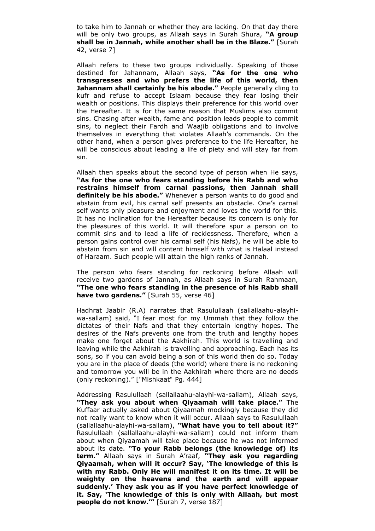to take him to Jannah or whether they are lacking. On that day there will be only two groups, as Allaah says in Surah Shura, **"A group shall be in Jannah, while another shall be in the Blaze."** [Surah 42, verse 7]

Allaah refers to these two groups individually. Speaking of those destined for Jahannam, Allaah says, **"As for the one who transgresses and who prefers the life of this world, then Jahannam shall certainly be his abode."** People generally cling to kufr and refuse to accept Islaam because they fear losing their wealth or positions. This displays their preference for this world over the Hereafter. It is for the same reason that Muslims also commit sins. Chasing after wealth, fame and position leads people to commit sins, to neglect their Fardh and Waajib obligations and to involve themselves in everything that violates Allaah's commands. On the other hand, when a person gives preference to the life Hereafter, he will be conscious about leading a life of piety and will stay far from sin.

Allaah then speaks about the second type of person when He says, **"As for the one who fears standing before his Rabb and who restrains himself from carnal passions, then Jannah shall definitely be his abode."** Whenever a person wants to do good and abstain from evil, his carnal self presents an obstacle. One's carnal self wants only pleasure and enjoyment and loves the world for this. It has no inclination for the Hereafter because its concern is only for the pleasures of this world. It will therefore spur a person on to commit sins and to lead a life of recklessness. Therefore, when a person gains control over his carnal self (his Nafs), he will be able to abstain from sin and will content himself with what is Halaal instead of Haraam. Such people will attain the high ranks of Jannah.

The person who fears standing for reckoning before Allaah will receive two gardens of Jannah, as Allaah says in Surah Rahmaan, **"The one who fears standing in the presence of his Rabb shall have two gardens."** [Surah 55, verse 46]

Hadhrat Jaabir (R.A) narrates that Rasulullaah (sallallaahu-alayhiwa-sallam) said, "I fear most for my Ummah that they follow the dictates of their Nafs and that they entertain lengthy hopes. The desires of the Nafs prevents one from the truth and lengthy hopes make one forget about the Aakhirah. This world is travelling and leaving while the Aakhirah is travelling and approaching. Each has its sons, so if you can avoid being a son of this world then do so. Today you are in the place of deeds (the world) where there is no reckoning and tomorrow you will be in the Aakhirah where there are no deeds (only reckoning)." ["Mishkaat" Pg. 444]

Addressing Rasulullaah (sallallaahu-alayhi-wa-sallam), Allaah says, **"They ask you about when Qiyaamah will take place."** The Kuffaar actually asked about Qiyaamah mockingly because they did not really want to know when it will occur. Allaah says to Rasulullaah (sallallaahu-alayhi-wa-sallam), **"What have you to tell about it?"**  Rasulullaah (sallallaahu-alayhi-wa-sallam) could not inform them about when Qiyaamah will take place because he was not informed about its date. **"To your Rabb belongs (the knowledge of) its term."** Allaah says in Surah A'raaf, **"They ask you regarding Qiyaamah, when will it occur? Say, "The knowledge of this is with my Rabb. Only He will manifest it on its time. It will be weighty on the heavens and the earth and will appear suddenly." They ask you as if you have perfect knowledge of it. Say, "The knowledge of this is only with Allaah, but most people do not know.""** [Surah 7, verse 187]